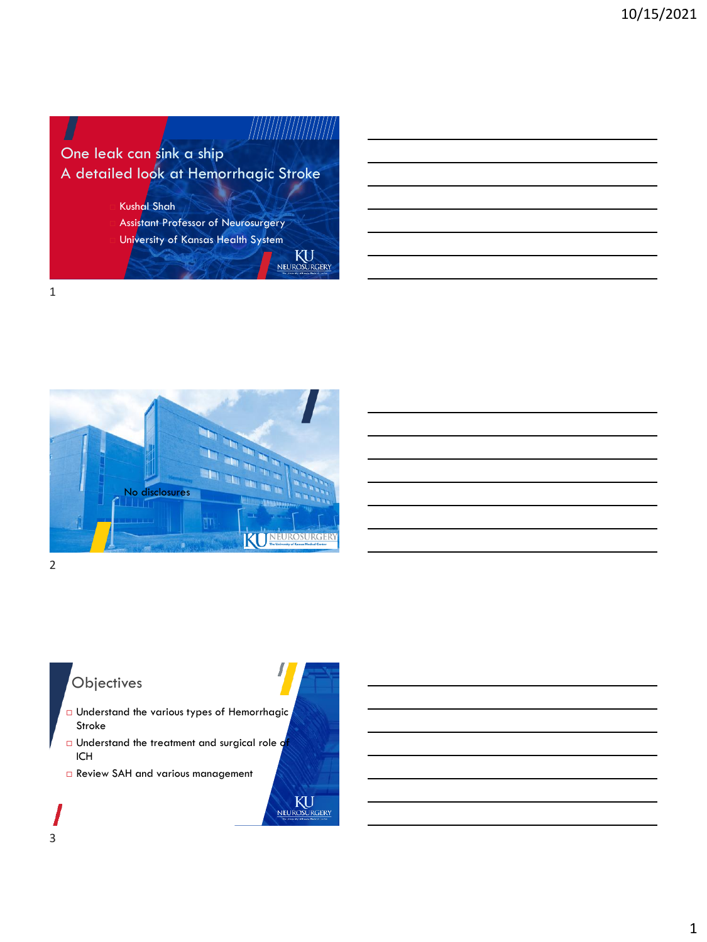

 Assistant Professor of Neurosurgery University of Kansas Health System

KU

NEUROSURGERY

1



2

### **Objectives**

- Understand the various types of Hemorrhagic Stroke
- **Understand the treatment and surgical role q** ICH
- Review SAH and various management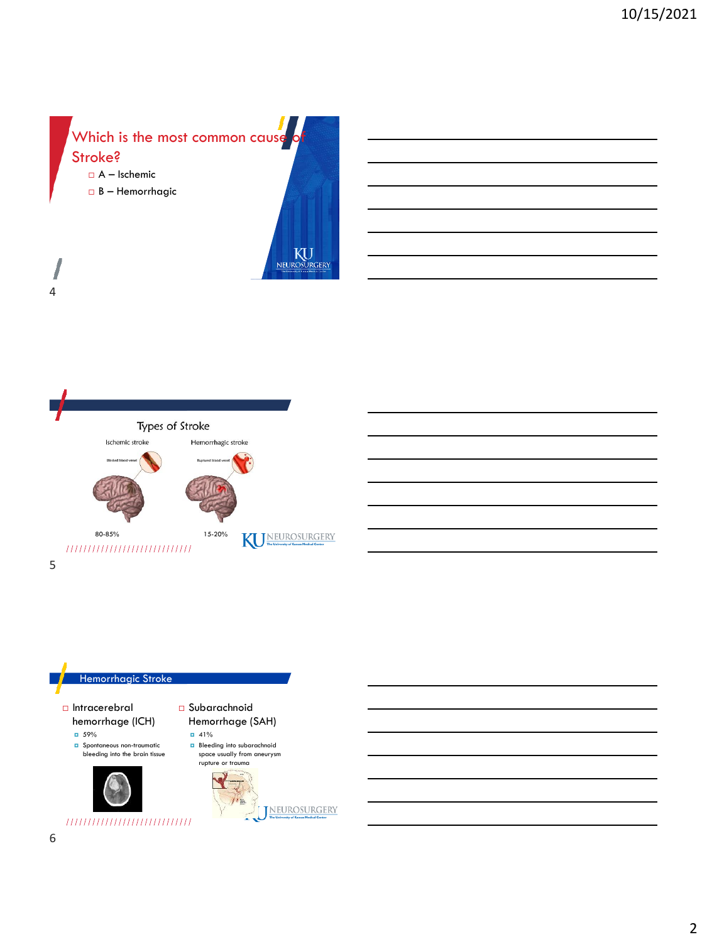







I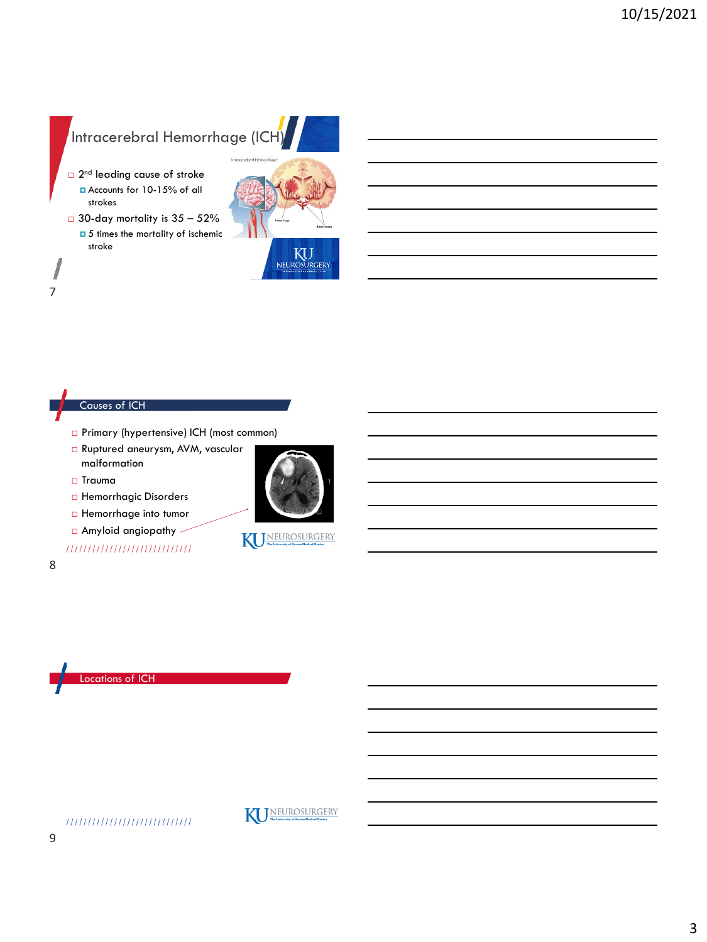### Intracerebral Hemorrhage (ICH

- □ 2<sup>nd</sup> leading cause of stroke Accounts for 10-15% of all strokes
- $\Box$  30-day mortality is 35 52%  $\Box$  5 times the mortality of ischemic stroke



#### Causes of ICH

- Primary (hypertensive) ICH (most common)
- Ruptured aneurysm, AVM, vascular malformation
- Trauma
- Hemorrhagic Disorders
- **Hemorrhage into tumor**
- Amyloid angiopathy

### ,,,,,,,,,,,,,,,,,,,,,,,,,,,,



7







The University of Kansas Medical Center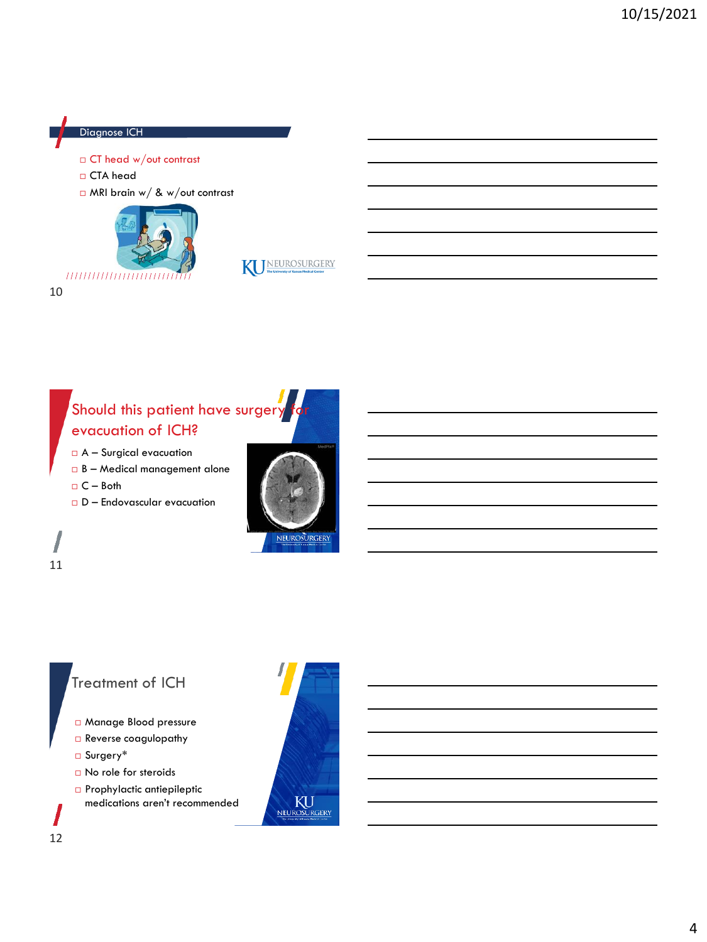#### Diagnose ICH

- CT head w/out contrast
- CTA head

10

11

12

MRI brain w/ & w/out contrast





### Should this patient have surger evacuation of ICH?

- A Surgical evacuation
- B Medical management alone
- $C Both$
- $D$  Endovascular evacuation



### Treatment of ICH

- Manage Blood pressure
- Reverse coagulopathy
- Surgery\*
- No role for steroids
- Prophylactic antiepileptic medications aren't recommended

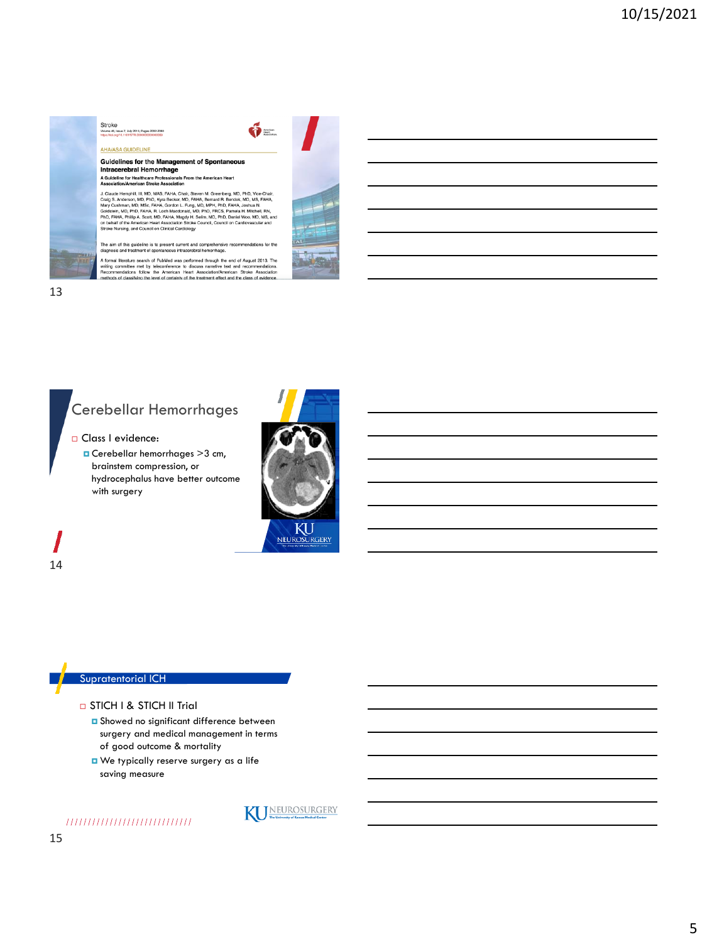#### Stroke<br>Volume 46, Is 2<br>Issue 7, July 2015; Pages 2032-2080 **AHA/ASA GUIDELINE**

Guidelines for the Management of Spontaneous Intracerebral Hemorrhage A Guideline for Healthcare Professionals From the American Heart<br>Association/American Stroke Association

J. Claude Hemphill, III, MD, MAS, FAHA, Chair, Steven M. Greenberg, MD, PhD, Vice-Chair, Craig S. Anderson, MD, PhD, WAS EAHA, Chair, Steven M. Republic Chair, Mary Cushman, MD, MSc, FAHA, Gordon, MD, MSC, FAHA, Gordon, L.

 $6-$ 

The aim of this guideline is to present current and comprehensit<br>diagnosis and treatment of spontaneous intracerebral hemorrhage as for the

A formal literature search of PubMed was performed through the end of August 2013. The<br>writing committee met by teleconference to discuss narrative text and recommendations.<br>Recommendations follow the American Heart Associ



### Cerebellar Hemorrhages

Class I evidence:

 Cerebellar hemorrhages >3 cm, brainstem compression, or hydrocephalus have better outcome with surgery



**KU** NEUROSURGERY

14

#### Supratentorial ICH

#### □ STICH I & STICH II Trial

- **D** Showed no significant difference between surgery and medical management in terms of good outcome & mortality
- We typically reserve surgery as a life saving measure

,,,,,,,,,,,,,,,,,,,,,,,,,,,,



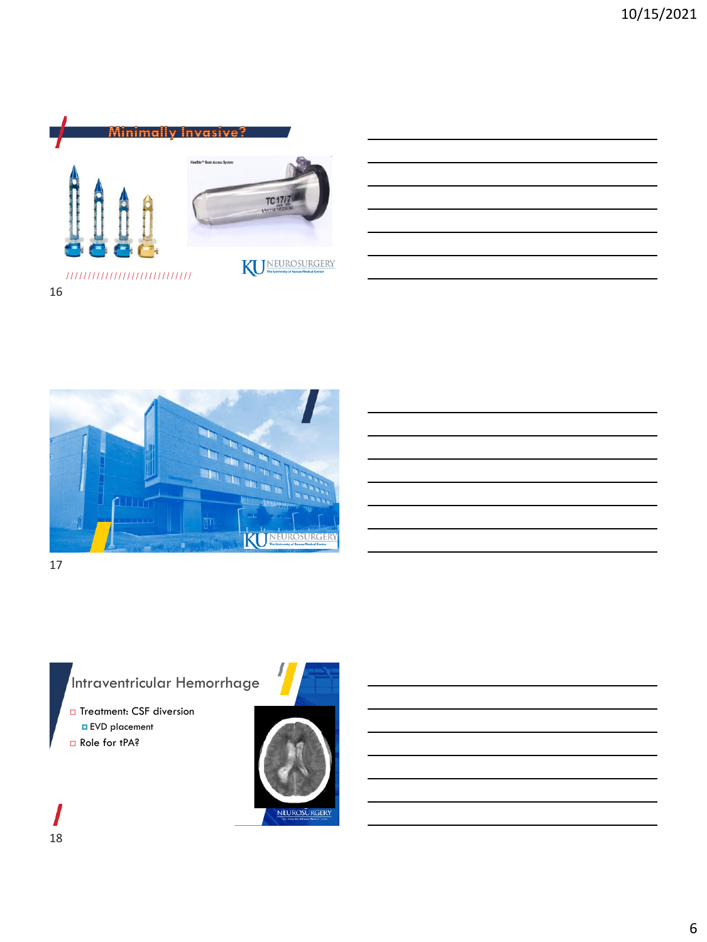



# Intraventricular Hemorrhage

□ Treatment: CSF diversion EVD placement

Role for tPA?

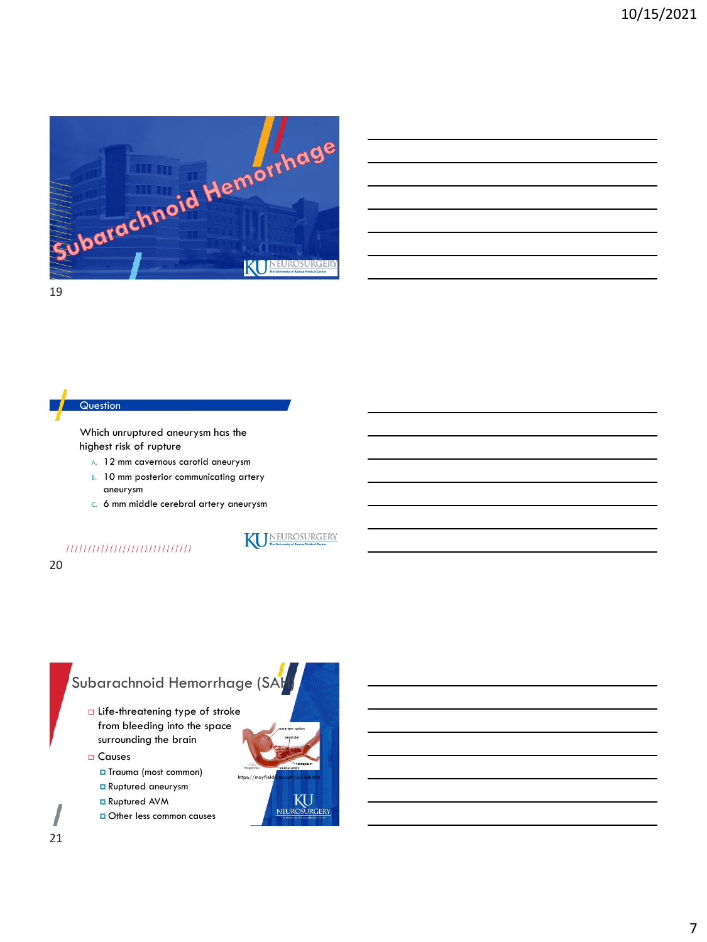

| <u> 1989 - Johann Stoff, amerikansk politiker (d. 1989)</u>                                                            |  |  |
|------------------------------------------------------------------------------------------------------------------------|--|--|
|                                                                                                                        |  |  |
| <u> 1989 - Johann Stoff, amerikansk politiker (d. 1989)</u>                                                            |  |  |
| <u> 1989 - Jan Samuel Barbara, margaret e a seu a componente de la componentación de la componentación de la compo</u> |  |  |
| <u> 1989 - Johann Stoff, amerikansk politiker (d. 1989)</u>                                                            |  |  |
|                                                                                                                        |  |  |

#### **Question**

Which unruptured aneurysm has the highest risk of rupture

- A. 12 mm cavernous carotid aneurysm
- B. 10 mm posterior communicating artery aneurysm
- C. 6 mm middle cerebral artery aneurysm

#### ,,,,,,,,,,,,,,,,,,,,,,,,,,,,

#### 20

## Subarachnoid Hemorrhage (SAI) Life-threatening type of stroke from bleeding into the space surrounding the brain Causes

- **O** Trauma (most common)
- **Ruptured aneurysm**
- Ruptured AVM
- Other less common causes



WEUROSURGERY

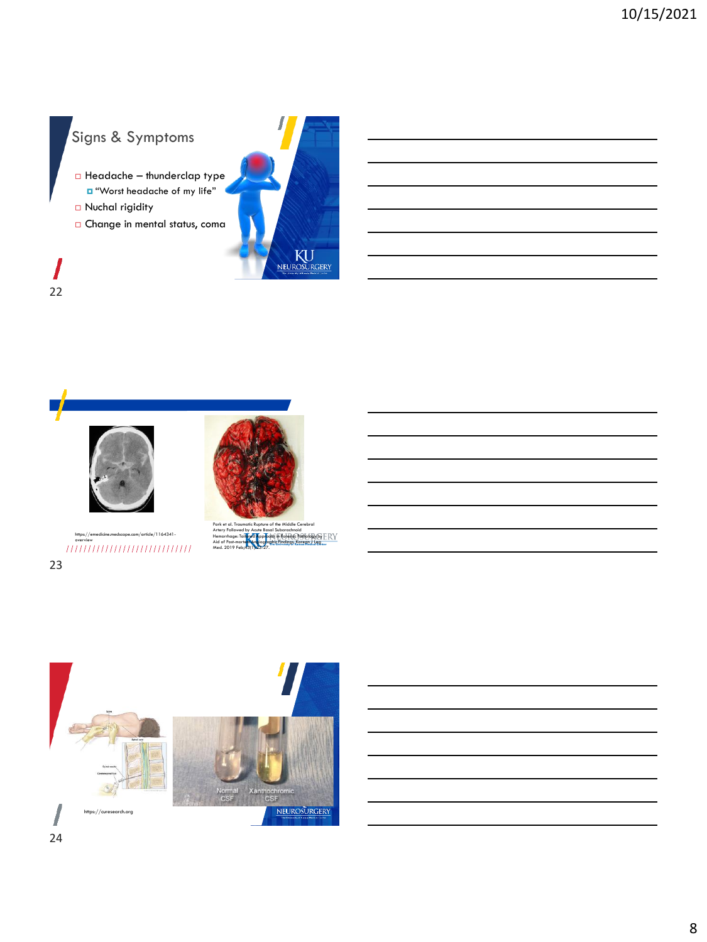## Signs & Symptoms

- $\Box$  Headache thunderclap type "Worst headache of my life"
- □ Nuchal rigidity

22

I

Change in mental status, coma







```
he.medscape.com/article/1164341-
                          https://emedicine.medscape.com/article/1164341-<br>overview<br>\left/ \left/ \left/ \left/ \left/ \left/ \left/ \right/ \right/ \right/ \right/ \right/ \left/ \left/ \left/ \left/ \right/ \right/ \right/ \right/ \left/ \left/ \left/ \right/ \right/ \right/ \right/ \left/ \left/ \left/ \left/ \right/ \right/ \right/ \right/ \right/ \left/ \left/ \left/ \left/ \right/ \right/ \right/ \left/ \left/ \left/ \left/ \right/ \right/ \right/ \right/ \left/ \left/ \left/ \23
```
Park et al. Traumatic Rupture of the Middle Cerebral<br>Artery Followed by Acute Basal Subarachnoid<br>Hemorrhage: Tail<mark>ored Approac</mark>h in Forensic Pathology by<br>Aid of Post-mortem Angiographic Findings, Korean J Leg Net of Post-1

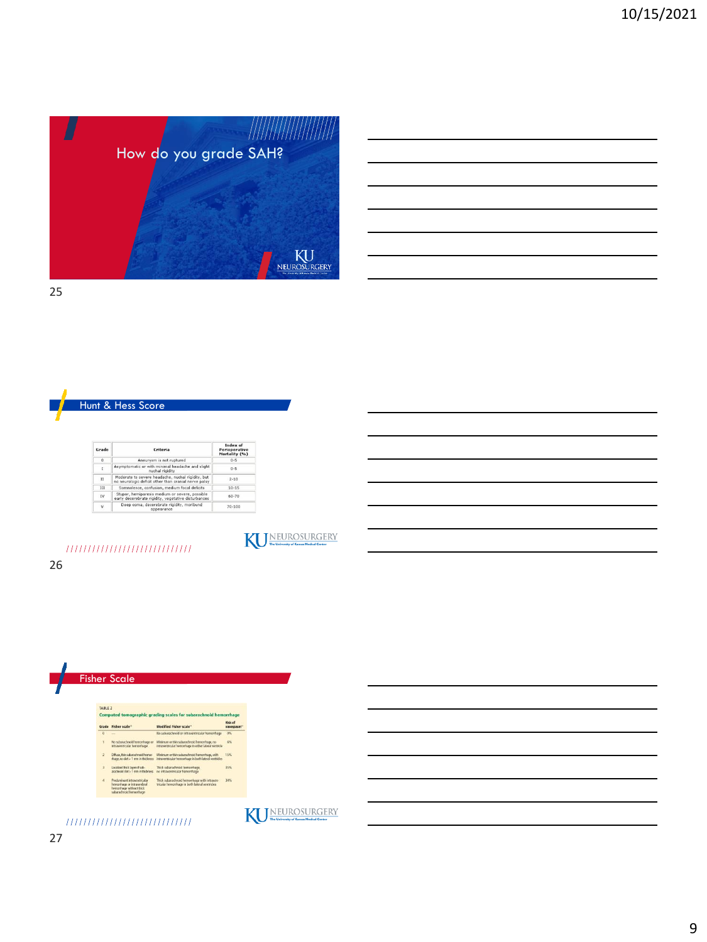

How do you grade SAH?



| Grade      | Criteria                                                                                                  | Index of<br>Perioperative<br>Mortality (%) |
|------------|-----------------------------------------------------------------------------------------------------------|--------------------------------------------|
| $\Omega$   | Aneurysm is not ruptured                                                                                  | $0 - 5$                                    |
| I          | Asymptomatic or with minimal headache and slight<br>nuchal rigidity                                       | $0 - 5$                                    |
| $_{\rm H}$ | Moderate to severe headache, nuchal rigidity, but<br>no neurologic deficit other than cranial nerve palsy | $2 - 10$                                   |
| ш          | Somnolence, confusion, medium focal deficits                                                              | $10 - 15$                                  |
| IV         | Stupor, hemiparesis medium or severe, possible<br>early decerebrate rigidity, vegetative disturbances     | 60-70                                      |
| V          | Deep coma, decerebrate rigidity, moribund<br>appearance                                                   | $70 - 100$                                 |



1111111111111111111111111111



KU

26

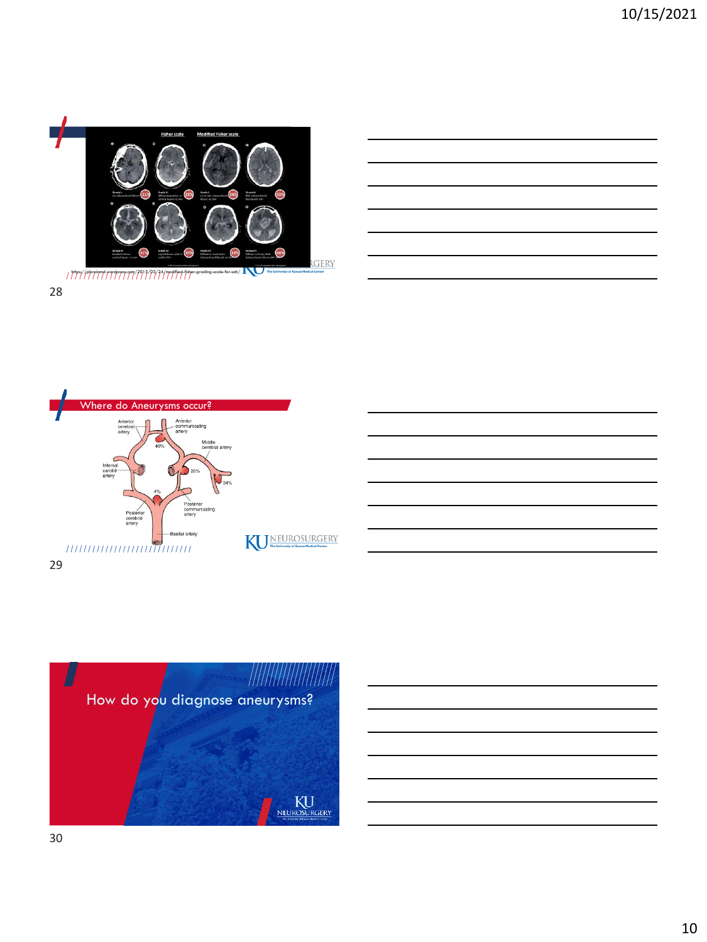





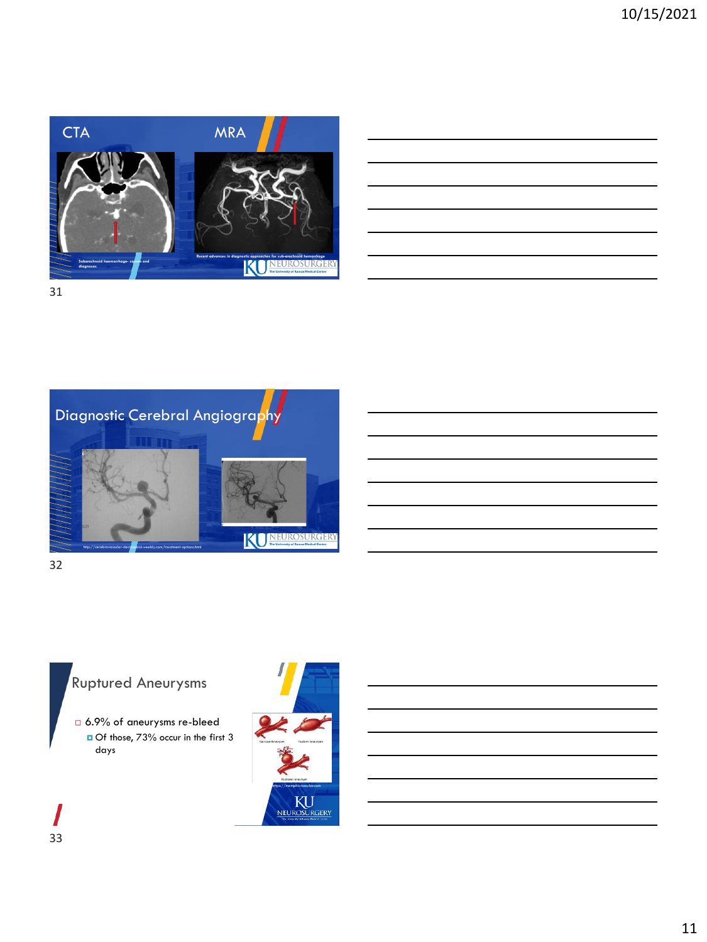

|                                                                                           | <u> 1989 - Johann Stoff, deutscher Stoff, der Stoff, der Stoff, der Stoff, der Stoff, der Stoff, der Stoff, der S</u> |                                   |
|-------------------------------------------------------------------------------------------|-----------------------------------------------------------------------------------------------------------------------|-----------------------------------|
|                                                                                           |                                                                                                                       |                                   |
|                                                                                           | <u> 1989 - Johann Stoff, amerikansk politiker (d. 1989)</u>                                                           |                                   |
|                                                                                           |                                                                                                                       | and the control of the control of |
|                                                                                           |                                                                                                                       |                                   |
| the control of the control of the control of the control of the control of the control of |                                                                                                                       |                                   |



## Ruptured Aneurysms

 6.9% of aneurysms re-bleed □ Of those, 73% occur in the first 3 days





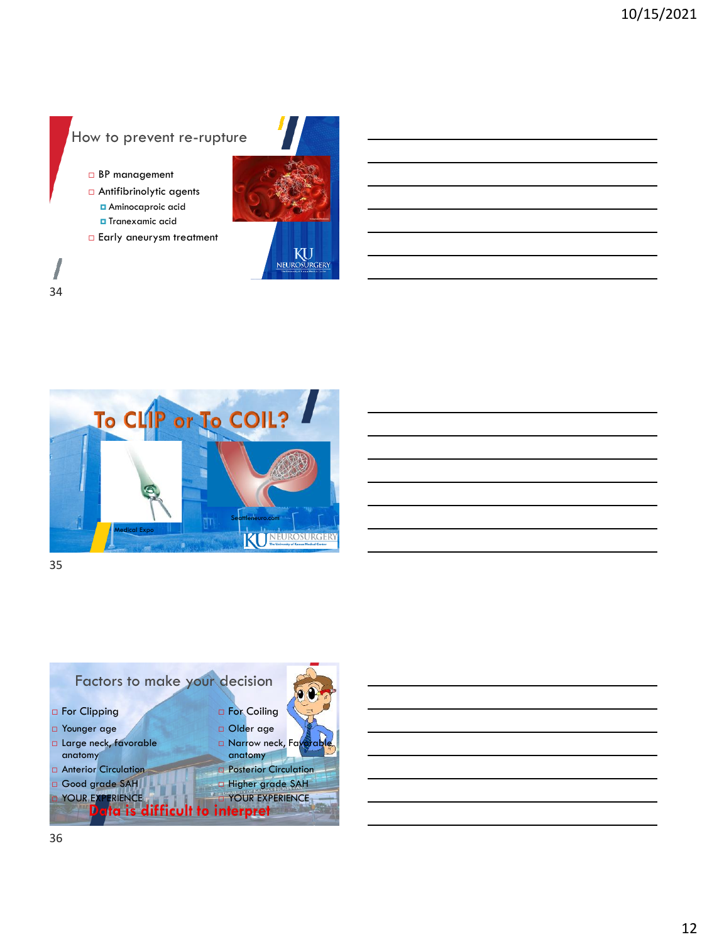### How to prevent re-rupture

- □ BP management
- Antifibrinolytic agents
	- **B** Aminocaproic acid Tranexamic acid
- **Early aneurysm treatment**





35



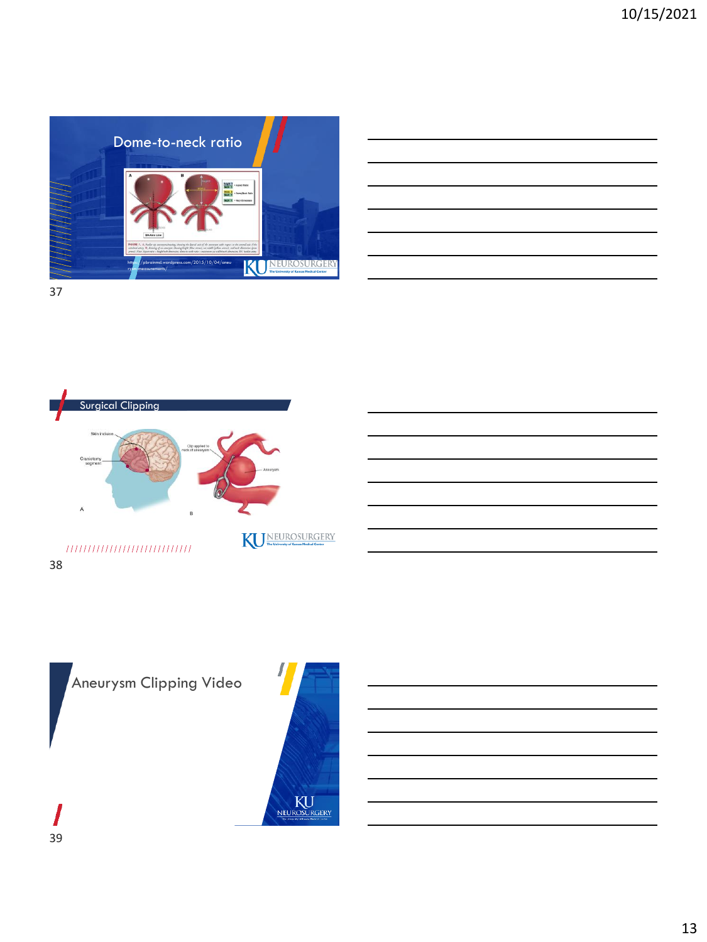



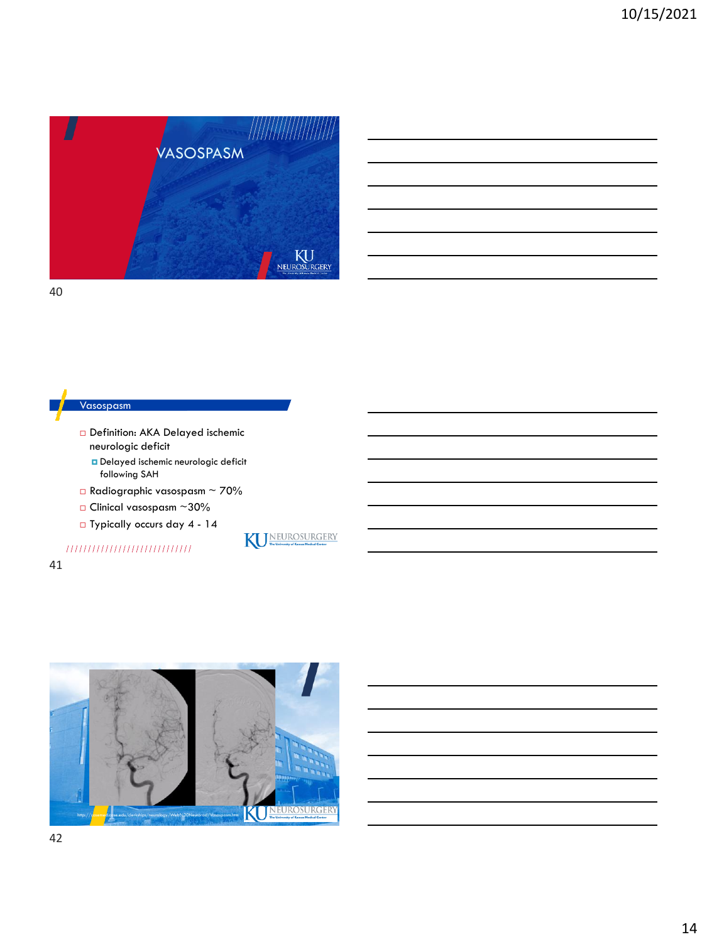

#### Vasospasm

- Definition: AKA Delayed ischemic neurologic deficit Delayed ischemic neurologic deficit following SAH
- $\Box$ Radiographic vasospasm ~ 70%
- $\Box$  Clinical vasospasm ~30%
- Typically occurs day 4 14

### ,,,,,,,,,,,,,,,,,,,,,,,,,,,,





WEUROSURGERY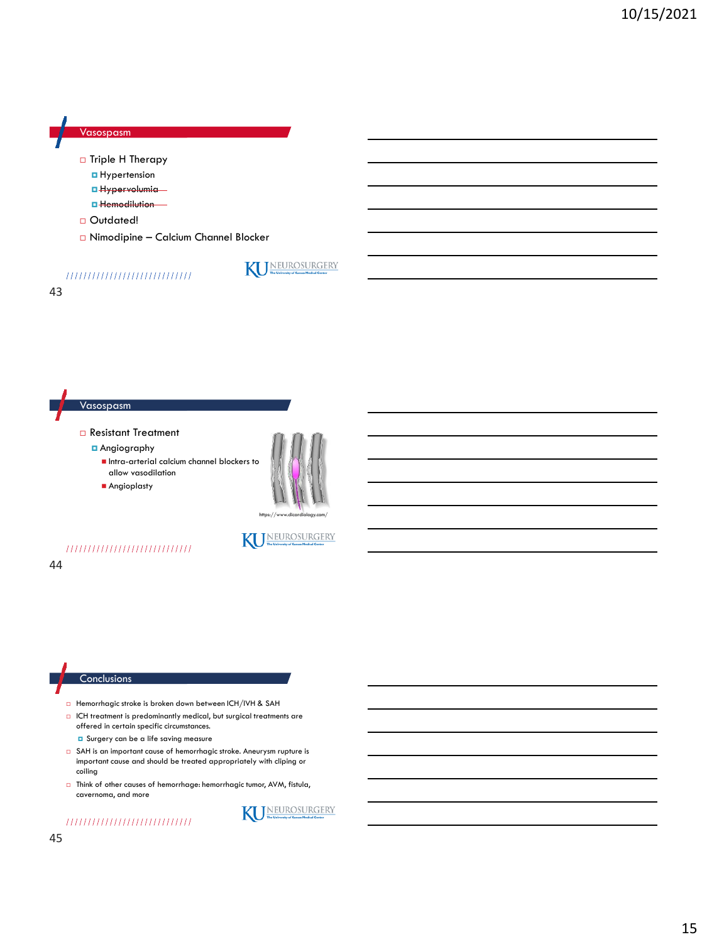

43



- Hemorrhagic stroke is broken down between ICH/IVH & SAH
- $\Box$  ICH treatment is predominantly medical, but surgical treatments are offered in certain specific circumstances.
	- **D** Surgery can be a life saving measure
- □ SAH is an important cause of hemorrhagic stroke. Aneurysm rupture is important cause and should be treated appropriately with cliping or coiling
- Think of other causes of hemorrhage: hemorrhagic tumor, AVM, fistula, cavernoma, and more



NEUROSURGERY

#### ,,,,,,,,,,,,,,,,,,,,,,,,,,,,